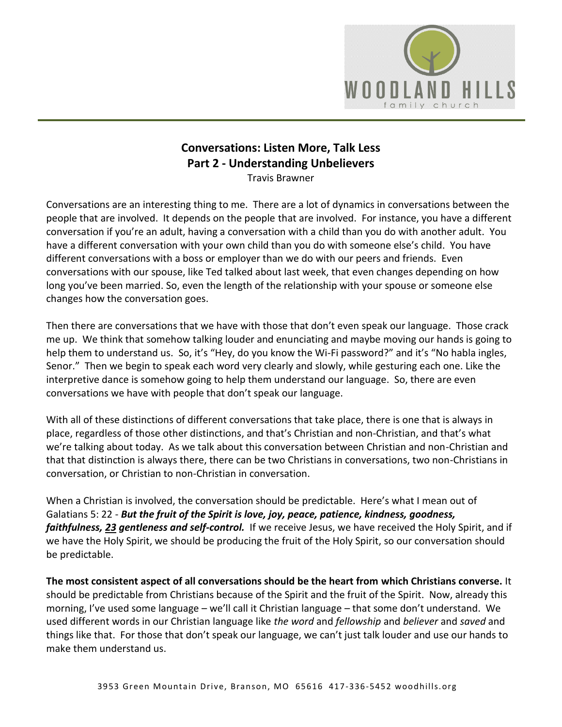

## **Conversations: Listen More, Talk Less Part 2 - Understanding Unbelievers**

Travis Brawner

Conversations are an interesting thing to me. There are a lot of dynamics in conversations between the people that are involved. It depends on the people that are involved. For instance, you have a different conversation if you're an adult, having a conversation with a child than you do with another adult. You have a different conversation with your own child than you do with someone else's child. You have different conversations with a boss or employer than we do with our peers and friends. Even conversations with our spouse, like Ted talked about last week, that even changes depending on how long you've been married. So, even the length of the relationship with your spouse or someone else changes how the conversation goes.

Then there are conversations that we have with those that don't even speak our language. Those crack me up. We think that somehow talking louder and enunciating and maybe moving our hands is going to help them to understand us. So, it's "Hey, do you know the Wi-Fi password?" and it's "No habla ingles, Senor." Then we begin to speak each word very clearly and slowly, while gesturing each one. Like the interpretive dance is somehow going to help them understand our language. So, there are even conversations we have with people that don't speak our language.

With all of these distinctions of different conversations that take place, there is one that is always in place, regardless of those other distinctions, and that's Christian and non-Christian, and that's what we're talking about today. As we talk about this conversation between Christian and non-Christian and that that distinction is always there, there can be two Christians in conversations, two non-Christians in conversation, or Christian to non-Christian in conversation.

When a Christian is involved, the conversation should be predictable. Here's what I mean out of Galatians 5: 22 - *But the fruit of the Spirit is love, joy, peace, patience, kindness, goodness, faithfulness, [23](https://www.studylight.org/desk/?q=ga%205:23&t1=en_niv&sr=1) gentleness and self-control.* If we receive Jesus, we have received the Holy Spirit, and if we have the Holy Spirit, we should be producing the fruit of the Holy Spirit, so our conversation should be predictable.

**The most consistent aspect of all conversations should be the heart from which Christians converse.** It should be predictable from Christians because of the Spirit and the fruit of the Spirit. Now, already this morning, I've used some language – we'll call it Christian language – that some don't understand. We used different words in our Christian language like *the word* and *fellowship* and *believer* and *saved* and things like that. For those that don't speak our language, we can't just talk louder and use our hands to make them understand us.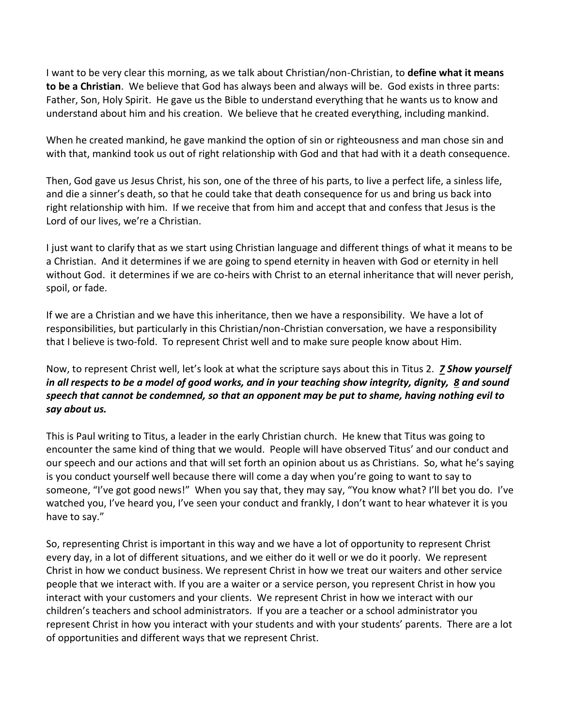I want to be very clear this morning, as we talk about Christian/non-Christian, to **define what it means to be a Christian**. We believe that God has always been and always will be. God exists in three parts: Father, Son, Holy Spirit. He gave us the Bible to understand everything that he wants us to know and understand about him and his creation. We believe that he created everything, including mankind.

When he created mankind, he gave mankind the option of sin or righteousness and man chose sin and with that, mankind took us out of right relationship with God and that had with it a death consequence.

Then, God gave us Jesus Christ, his son, one of the three of his parts, to live a perfect life, a sinless life, and die a sinner's death, so that he could take that death consequence for us and bring us back into right relationship with him. If we receive that from him and accept that and confess that Jesus is the Lord of our lives, we're a Christian.

I just want to clarify that as we start using Christian language and different things of what it means to be a Christian. And it determines if we are going to spend eternity in heaven with God or eternity in hell without God. it determines if we are co-heirs with Christ to an eternal inheritance that will never perish, spoil, or fade.

If we are a Christian and we have this inheritance, then we have a responsibility. We have a lot of responsibilities, but particularly in this Christian/non-Christian conversation, we have a responsibility that I believe is two-fold. To represent Christ well and to make sure people know about Him.

Now, to represent Christ well, let's look at what the scripture says about this in Titus 2. *[7](https://www.studylight.org/desk/?q=tit%202:7&t1=en_esv&sr=1) Show yourself in all respects to be a model of good works, and in your teaching show integrity, dignity, [8](https://www.studylight.org/desk/?q=tit%202:8&t1=en_esv&sr=1) and sound speech that cannot be condemned, so that an opponent may be put to shame, having nothing evil to say about us.*

This is Paul writing to Titus, a leader in the early Christian church. He knew that Titus was going to encounter the same kind of thing that we would. People will have observed Titus' and our conduct and our speech and our actions and that will set forth an opinion about us as Christians. So, what he's saying is you conduct yourself well because there will come a day when you're going to want to say to someone, "I've got good news!" When you say that, they may say, "You know what? I'll bet you do. I've watched you, I've heard you, I've seen your conduct and frankly, I don't want to hear whatever it is you have to say."

So, representing Christ is important in this way and we have a lot of opportunity to represent Christ every day, in a lot of different situations, and we either do it well or we do it poorly. We represent Christ in how we conduct business. We represent Christ in how we treat our waiters and other service people that we interact with. If you are a waiter or a service person, you represent Christ in how you interact with your customers and your clients. We represent Christ in how we interact with our children's teachers and school administrators. If you are a teacher or a school administrator you represent Christ in how you interact with your students and with your students' parents. There are a lot of opportunities and different ways that we represent Christ.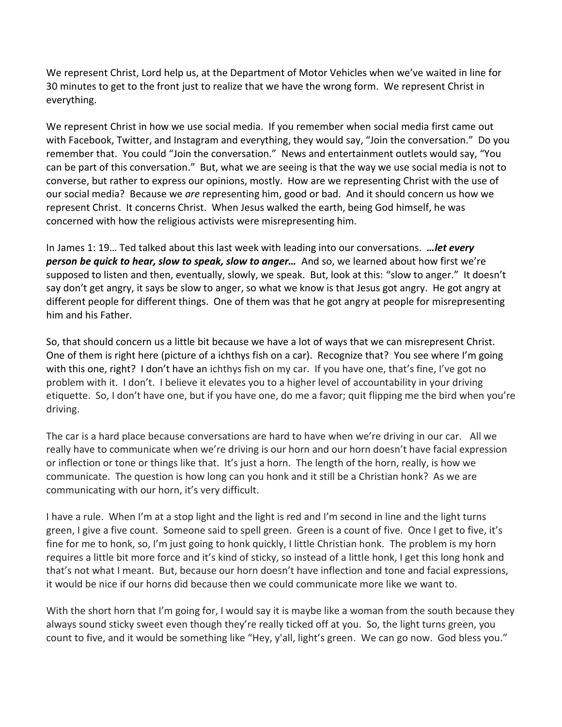We represent Christ, Lord help us, at the Department of Motor Vehicles when we've waited in line for 30 minutes to get to the front just to realize that we have the wrong form. We represent Christ in everything.

We represent Christ in how we use social media. If you remember when social media first came out with Facebook, Twitter, and Instagram and everything, they would say, "Join the conversation." Do you remember that. You could "Join the conversation." News and entertainment outlets would say, "You can be part of this conversation." But, what we are seeing is that the way we use social media is not to converse, but rather to express our opinions, mostly. How are we representing Christ with the use of our social media? Because we *are* representing him, good or bad. And it should concern us how we represent Christ. It concerns Christ. When Jesus walked the earth, being God himself, he was concerned with how the religious activists were misrepresenting him.

In James 1: 19… Ted talked about this last week with leading into our conversations. *…let every person be quick to hear, slow to speak, slow to anger…* And so, we learned about how first we're supposed to listen and then, eventually, slowly, we speak. But, look at this: "slow to anger." It doesn't say don't get angry, it says be slow to anger, so what we know is that Jesus got angry. He got angry at different people for different things. One of them was that he got angry at people for misrepresenting him and his Father.

So, that should concern us a little bit because we have a lot of ways that we can misrepresent Christ. One of them is right here (picture of a ichthys fish on a car). Recognize that? You see where I'm going with this one, right? I don't have an ichthys fish on my car. If you have one, that's fine, I've got no problem with it. I don't. I believe it elevates you to a higher level of accountability in your driving etiquette. So, I don't have one, but if you have one, do me a favor; quit flipping me the bird when you're driving.

The car is a hard place because conversations are hard to have when we're driving in our car. All we really have to communicate when we're driving is our horn and our horn doesn't have facial expression or inflection or tone or things like that. It's just a horn. The length of the horn, really, is how we communicate. The question is how long can you honk and it still be a Christian honk? As we are communicating with our horn, it's very difficult.

I have a rule. When I'm at a stop light and the light is red and I'm second in line and the light turns green, I give a five count. Someone said to spell green. Green is a count of five. Once I get to five, it's fine for me to honk, so, I'm just going to honk quickly, I little Christian honk. The problem is my horn requires a little bit more force and it's kind of sticky, so instead of a little honk, I get this long honk and that's not what I meant. But, because our horn doesn't have inflection and tone and facial expressions, it would be nice if our horns did because then we could communicate more like we want to.

With the short horn that I'm going for, I would say it is maybe like a woman from the south because they always sound sticky sweet even though they're really ticked off at you. So, the light turns green, you count to five, and it would be something like "Hey, y'all, light's green. We can go now. God bless you."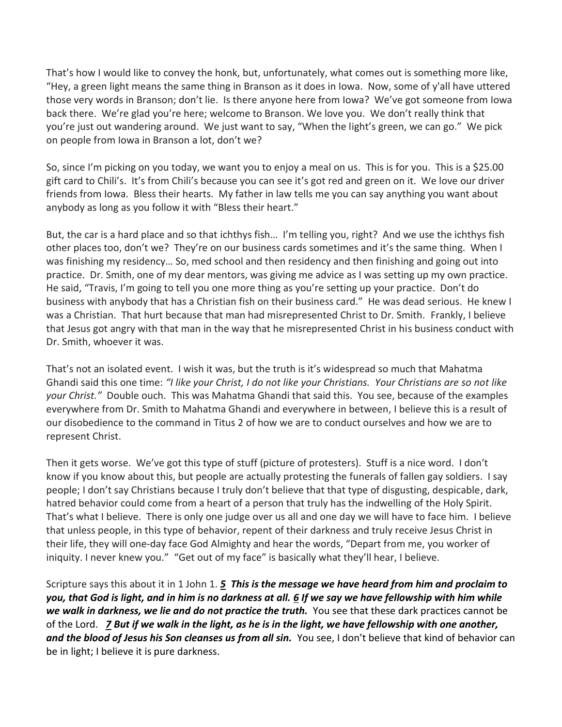That's how I would like to convey the honk, but, unfortunately, what comes out is something more like, "Hey, a green light means the same thing in Branson as it does in Iowa. Now, some of y'all have uttered those very words in Branson; don't lie. Is there anyone here from Iowa? We've got someone from Iowa back there. We're glad you're here; welcome to Branson. We love you. We don't really think that you're just out wandering around. We just want to say, "When the light's green, we can go." We pick on people from Iowa in Branson a lot, don't we?

So, since I'm picking on you today, we want you to enjoy a meal on us. This is for you. This is a \$25.00 gift card to Chili's. It's from Chili's because you can see it's got red and green on it. We love our driver friends from Iowa. Bless their hearts. My father in law tells me you can say anything you want about anybody as long as you follow it with "Bless their heart."

But, the car is a hard place and so that ichthys fish… I'm telling you, right? And we use the ichthys fish other places too, don't we? They're on our business cards sometimes and it's the same thing. When I was finishing my residency… So, med school and then residency and then finishing and going out into practice. Dr. Smith, one of my dear mentors, was giving me advice as I was setting up my own practice. He said, "Travis, I'm going to tell you one more thing as you're setting up your practice. Don't do business with anybody that has a Christian fish on their business card." He was dead serious. He knew I was a Christian. That hurt because that man had misrepresented Christ to Dr. Smith. Frankly, I believe that Jesus got angry with that man in the way that he misrepresented Christ in his business conduct with Dr. Smith, whoever it was.

That's not an isolated event. I wish it was, but the truth is it's widespread so much that Mahatma Ghandi said this one time: *"I like your Christ, I do not like your Christians. Your Christians are so not like your Christ."* Double ouch. This was Mahatma Ghandi that said this. You see, because of the examples everywhere from Dr. Smith to Mahatma Ghandi and everywhere in between, I believe this is a result of our disobedience to the command in Titus 2 of how we are to conduct ourselves and how we are to represent Christ.

Then it gets worse. We've got this type of stuff (picture of protesters). Stuff is a nice word. I don't know if you know about this, but people are actually protesting the funerals of fallen gay soldiers. I say people; I don't say Christians because I truly don't believe that that type of disgusting, despicable, dark, hatred behavior could come from a heart of a person that truly has the indwelling of the Holy Spirit. That's what I believe. There is only one judge over us all and one day we will have to face him. I believe that unless people, in this type of behavior, repent of their darkness and truly receive Jesus Christ in their life, they will one-day face God Almighty and hear the words, "Depart from me, you worker of iniquity. I never knew you." "Get out of my face" is basically what they'll hear, I believe.

Scripture says this about it in 1 John 1. *[5](https://www.studylight.org/desk/?q=1jo%201:5&t1=en_esv&sr=1) This is the message we have heard from him and proclaim to you, that God is light, and in him is no darkness at all. [6](https://www.studylight.org/desk/?q=1jo%201:6&t1=en_esv&sr=1) If we say we have fellowship with him while we walk in darkness, we lie and do not practice the truth.* You see that these dark practices cannot be of the Lord. *[7](https://www.studylight.org/desk/?q=1jo%201:7&t1=en_esv&sr=1) But if we walk in the light, as he is in the light, we have fellowship with one another, and the blood of Jesus his Son cleanses us from all sin.* You see, I don't believe that kind of behavior can be in light; I believe it is pure darkness.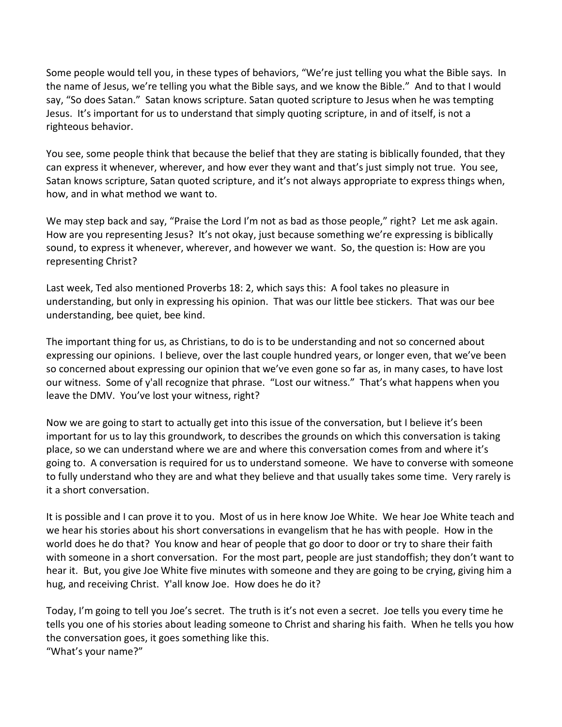Some people would tell you, in these types of behaviors, "We're just telling you what the Bible says. In the name of Jesus, we're telling you what the Bible says, and we know the Bible." And to that I would say, "So does Satan." Satan knows scripture. Satan quoted scripture to Jesus when he was tempting Jesus. It's important for us to understand that simply quoting scripture, in and of itself, is not a righteous behavior.

You see, some people think that because the belief that they are stating is biblically founded, that they can express it whenever, wherever, and how ever they want and that's just simply not true. You see, Satan knows scripture, Satan quoted scripture, and it's not always appropriate to express things when, how, and in what method we want to.

We may step back and say, "Praise the Lord I'm not as bad as those people," right? Let me ask again. How are you representing Jesus? It's not okay, just because something we're expressing is biblically sound, to express it whenever, wherever, and however we want. So, the question is: How are you representing Christ?

Last week, Ted also mentioned Proverbs 18: 2, which says this: A fool takes no pleasure in understanding, but only in expressing his opinion. That was our little bee stickers. That was our bee understanding, bee quiet, bee kind.

The important thing for us, as Christians, to do is to be understanding and not so concerned about expressing our opinions. I believe, over the last couple hundred years, or longer even, that we've been so concerned about expressing our opinion that we've even gone so far as, in many cases, to have lost our witness. Some of y'all recognize that phrase. "Lost our witness." That's what happens when you leave the DMV. You've lost your witness, right?

Now we are going to start to actually get into this issue of the conversation, but I believe it's been important for us to lay this groundwork, to describes the grounds on which this conversation is taking place, so we can understand where we are and where this conversation comes from and where it's going to. A conversation is required for us to understand someone. We have to converse with someone to fully understand who they are and what they believe and that usually takes some time. Very rarely is it a short conversation.

It is possible and I can prove it to you. Most of us in here know Joe White. We hear Joe White teach and we hear his stories about his short conversations in evangelism that he has with people. How in the world does he do that? You know and hear of people that go door to door or try to share their faith with someone in a short conversation. For the most part, people are just standoffish; they don't want to hear it. But, you give Joe White five minutes with someone and they are going to be crying, giving him a hug, and receiving Christ. Y'all know Joe. How does he do it?

Today, I'm going to tell you Joe's secret. The truth is it's not even a secret. Joe tells you every time he tells you one of his stories about leading someone to Christ and sharing his faith. When he tells you how the conversation goes, it goes something like this. "What's your name?"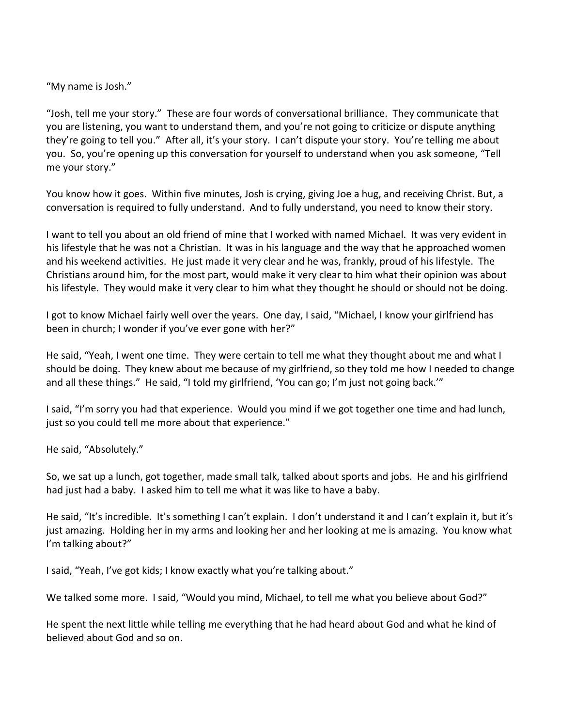"My name is Josh."

"Josh, tell me your story." These are four words of conversational brilliance. They communicate that you are listening, you want to understand them, and you're not going to criticize or dispute anything they're going to tell you." After all, it's your story. I can't dispute your story. You're telling me about you. So, you're opening up this conversation for yourself to understand when you ask someone, "Tell me your story."

You know how it goes. Within five minutes, Josh is crying, giving Joe a hug, and receiving Christ. But, a conversation is required to fully understand. And to fully understand, you need to know their story.

I want to tell you about an old friend of mine that I worked with named Michael. It was very evident in his lifestyle that he was not a Christian. It was in his language and the way that he approached women and his weekend activities. He just made it very clear and he was, frankly, proud of his lifestyle. The Christians around him, for the most part, would make it very clear to him what their opinion was about his lifestyle. They would make it very clear to him what they thought he should or should not be doing.

I got to know Michael fairly well over the years. One day, I said, "Michael, I know your girlfriend has been in church; I wonder if you've ever gone with her?"

He said, "Yeah, I went one time. They were certain to tell me what they thought about me and what I should be doing. They knew about me because of my girlfriend, so they told me how I needed to change and all these things." He said, "I told my girlfriend, 'You can go; I'm just not going back.'"

I said, "I'm sorry you had that experience. Would you mind if we got together one time and had lunch, just so you could tell me more about that experience."

He said, "Absolutely."

So, we sat up a lunch, got together, made small talk, talked about sports and jobs. He and his girlfriend had just had a baby. I asked him to tell me what it was like to have a baby.

He said, "It's incredible. It's something I can't explain. I don't understand it and I can't explain it, but it's just amazing. Holding her in my arms and looking her and her looking at me is amazing. You know what I'm talking about?"

I said, "Yeah, I've got kids; I know exactly what you're talking about."

We talked some more. I said, "Would you mind, Michael, to tell me what you believe about God?"

He spent the next little while telling me everything that he had heard about God and what he kind of believed about God and so on.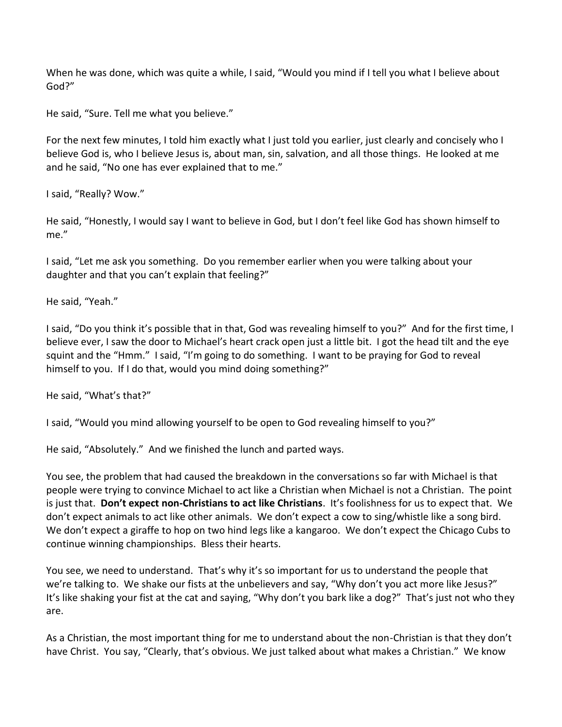When he was done, which was quite a while, I said, "Would you mind if I tell you what I believe about God?"

He said, "Sure. Tell me what you believe."

For the next few minutes, I told him exactly what I just told you earlier, just clearly and concisely who I believe God is, who I believe Jesus is, about man, sin, salvation, and all those things. He looked at me and he said, "No one has ever explained that to me."

I said, "Really? Wow."

He said, "Honestly, I would say I want to believe in God, but I don't feel like God has shown himself to me."

I said, "Let me ask you something. Do you remember earlier when you were talking about your daughter and that you can't explain that feeling?"

He said, "Yeah."

I said, "Do you think it's possible that in that, God was revealing himself to you?" And for the first time, I believe ever, I saw the door to Michael's heart crack open just a little bit. I got the head tilt and the eye squint and the "Hmm." I said, "I'm going to do something. I want to be praying for God to reveal himself to you. If I do that, would you mind doing something?"

He said, "What's that?"

I said, "Would you mind allowing yourself to be open to God revealing himself to you?"

He said, "Absolutely." And we finished the lunch and parted ways.

You see, the problem that had caused the breakdown in the conversations so far with Michael is that people were trying to convince Michael to act like a Christian when Michael is not a Christian. The point is just that. **Don't expect non-Christians to act like Christians**. It's foolishness for us to expect that. We don't expect animals to act like other animals. We don't expect a cow to sing/whistle like a song bird. We don't expect a giraffe to hop on two hind legs like a kangaroo. We don't expect the Chicago Cubs to continue winning championships. Bless their hearts.

You see, we need to understand. That's why it's so important for us to understand the people that we're talking to. We shake our fists at the unbelievers and say, "Why don't you act more like Jesus?" It's like shaking your fist at the cat and saying, "Why don't you bark like a dog?" That's just not who they are.

As a Christian, the most important thing for me to understand about the non-Christian is that they don't have Christ. You say, "Clearly, that's obvious. We just talked about what makes a Christian." We know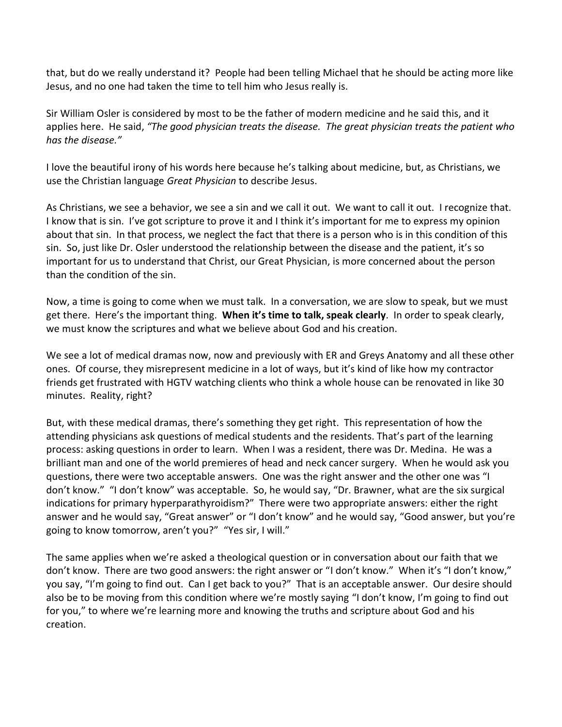that, but do we really understand it? People had been telling Michael that he should be acting more like Jesus, and no one had taken the time to tell him who Jesus really is.

Sir William Osler is considered by most to be the father of modern medicine and he said this, and it applies here. He said, *"The good physician treats the disease. The great physician treats the patient who has the disease."*

I love the beautiful irony of his words here because he's talking about medicine, but, as Christians, we use the Christian language *Great Physician* to describe Jesus.

As Christians, we see a behavior, we see a sin and we call it out. We want to call it out. I recognize that. I know that is sin. I've got scripture to prove it and I think it's important for me to express my opinion about that sin. In that process, we neglect the fact that there is a person who is in this condition of this sin. So, just like Dr. Osler understood the relationship between the disease and the patient, it's so important for us to understand that Christ, our Great Physician, is more concerned about the person than the condition of the sin.

Now, a time is going to come when we must talk. In a conversation, we are slow to speak, but we must get there. Here's the important thing. **When it's time to talk, speak clearly**. In order to speak clearly, we must know the scriptures and what we believe about God and his creation.

We see a lot of medical dramas now, now and previously with ER and Greys Anatomy and all these other ones. Of course, they misrepresent medicine in a lot of ways, but it's kind of like how my contractor friends get frustrated with HGTV watching clients who think a whole house can be renovated in like 30 minutes. Reality, right?

But, with these medical dramas, there's something they get right. This representation of how the attending physicians ask questions of medical students and the residents. That's part of the learning process: asking questions in order to learn. When I was a resident, there was Dr. Medina. He was a brilliant man and one of the world premieres of head and neck cancer surgery. When he would ask you questions, there were two acceptable answers. One was the right answer and the other one was "I don't know." "I don't know" was acceptable. So, he would say, "Dr. Brawner, what are the six surgical indications for primary hyperparathyroidism?" There were two appropriate answers: either the right answer and he would say, "Great answer" or "I don't know" and he would say, "Good answer, but you're going to know tomorrow, aren't you?" "Yes sir, I will."

The same applies when we're asked a theological question or in conversation about our faith that we don't know. There are two good answers: the right answer or "I don't know." When it's "I don't know," you say, "I'm going to find out. Can I get back to you?" That is an acceptable answer. Our desire should also be to be moving from this condition where we're mostly saying "I don't know, I'm going to find out for you," to where we're learning more and knowing the truths and scripture about God and his creation.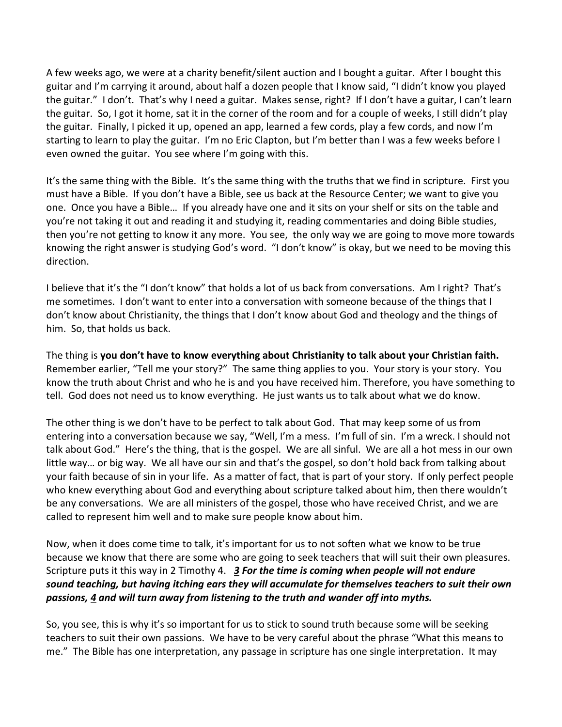A few weeks ago, we were at a charity benefit/silent auction and I bought a guitar. After I bought this guitar and I'm carrying it around, about half a dozen people that I know said, "I didn't know you played the guitar." I don't. That's why I need a guitar. Makes sense, right? If I don't have a guitar, I can't learn the guitar. So, I got it home, sat it in the corner of the room and for a couple of weeks, I still didn't play the guitar. Finally, I picked it up, opened an app, learned a few cords, play a few cords, and now I'm starting to learn to play the guitar. I'm no Eric Clapton, but I'm better than I was a few weeks before I even owned the guitar. You see where I'm going with this.

It's the same thing with the Bible. It's the same thing with the truths that we find in scripture. First you must have a Bible. If you don't have a Bible, see us back at the Resource Center; we want to give you one. Once you have a Bible… If you already have one and it sits on your shelf or sits on the table and you're not taking it out and reading it and studying it, reading commentaries and doing Bible studies, then you're not getting to know it any more. You see, the only way we are going to move more towards knowing the right answer is studying God's word. "I don't know" is okay, but we need to be moving this direction.

I believe that it's the "I don't know" that holds a lot of us back from conversations. Am I right? That's me sometimes. I don't want to enter into a conversation with someone because of the things that I don't know about Christianity, the things that I don't know about God and theology and the things of him. So, that holds us back.

The thing is **you don't have to know everything about Christianity to talk about your Christian faith.** Remember earlier, "Tell me your story?" The same thing applies to you. Your story is your story. You know the truth about Christ and who he is and you have received him. Therefore, you have something to tell. God does not need us to know everything. He just wants us to talk about what we do know.

The other thing is we don't have to be perfect to talk about God. That may keep some of us from entering into a conversation because we say, "Well, I'm a mess. I'm full of sin. I'm a wreck. I should not talk about God." Here's the thing, that is the gospel. We are all sinful. We are all a hot mess in our own little way… or big way. We all have our sin and that's the gospel, so don't hold back from talking about your faith because of sin in your life. As a matter of fact, that is part of your story. If only perfect people who knew everything about God and everything about scripture talked about him, then there wouldn't be any conversations. We are all ministers of the gospel, those who have received Christ, and we are called to represent him well and to make sure people know about him.

Now, when it does come time to talk, it's important for us to not soften what we know to be true because we know that there are some who are going to seek teachers that will suit their own pleasures. Scripture puts it this way in 2 Timothy 4. *[3](https://www.studylight.org/desk/?q=2ti%204:3&t1=en_esv&sr=1) For the time is coming when people will not endure sound teaching, but having itching ears they will accumulate for themselves teachers to suit their own passions, [4](https://www.studylight.org/desk/?q=2ti%204:4&t1=en_esv&sr=1) and will turn away from listening to the truth and wander off into myths.*

So, you see, this is why it's so important for us to stick to sound truth because some will be seeking teachers to suit their own passions. We have to be very careful about the phrase "What this means to me." The Bible has one interpretation, any passage in scripture has one single interpretation. It may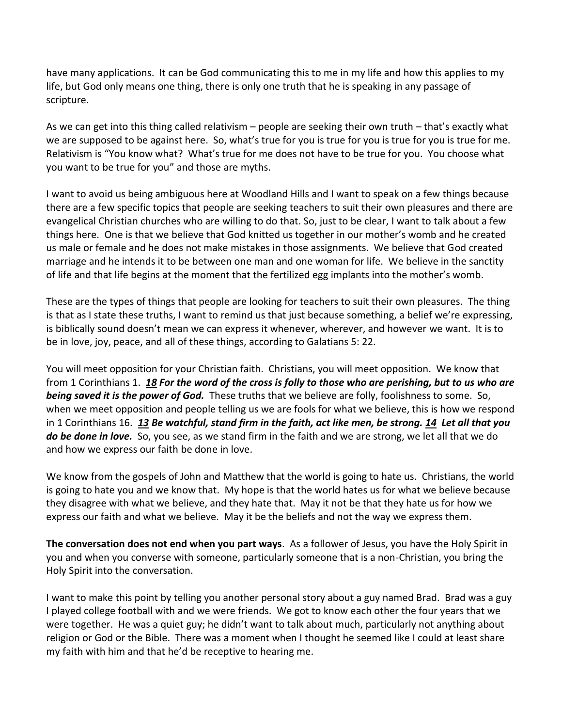have many applications. It can be God communicating this to me in my life and how this applies to my life, but God only means one thing, there is only one truth that he is speaking in any passage of scripture.

As we can get into this thing called relativism – people are seeking their own truth – that's exactly what we are supposed to be against here. So, what's true for you is true for you is true for you is true for me. Relativism is "You know what? What's true for me does not have to be true for you. You choose what you want to be true for you" and those are myths.

I want to avoid us being ambiguous here at Woodland Hills and I want to speak on a few things because there are a few specific topics that people are seeking teachers to suit their own pleasures and there are evangelical Christian churches who are willing to do that. So, just to be clear, I want to talk about a few things here. One is that we believe that God knitted us together in our mother's womb and he created us male or female and he does not make mistakes in those assignments. We believe that God created marriage and he intends it to be between one man and one woman for life. We believe in the sanctity of life and that life begins at the moment that the fertilized egg implants into the mother's womb.

These are the types of things that people are looking for teachers to suit their own pleasures. The thing is that as I state these truths, I want to remind us that just because something, a belief we're expressing, is biblically sound doesn't mean we can express it whenever, wherever, and however we want. It is to be in love, joy, peace, and all of these things, according to Galatians 5: 22.

You will meet opposition for your Christian faith. Christians, you will meet opposition. We know that from 1 Corinthians 1. *[18](https://www.studylight.org/desk/?q=1co%201:18&t1=en_esv&sr=1) For the word of the cross is folly to those who are perishing, but to us who are being saved it is the power of God.* These truths that we believe are folly, foolishness to some. So, when we meet opposition and people telling us we are fools for what we believe, this is how we respond in 1 Corinthians 16. *[13](https://www.studylight.org/desk/?q=1co%2016:13&t1=en_esv&sr=1) Be watchful, stand firm in the faith, act like men, be strong. [14](https://www.studylight.org/desk/?q=1co%2016:14&t1=en_esv&sr=1) Let all that you do be done in love.* So, you see, as we stand firm in the faith and we are strong, we let all that we do and how we express our faith be done in love.

We know from the gospels of John and Matthew that the world is going to hate us. Christians, the world is going to hate you and we know that. My hope is that the world hates us for what we believe because they disagree with what we believe, and they hate that. May it not be that they hate us for how we express our faith and what we believe. May it be the beliefs and not the way we express them.

**The conversation does not end when you part ways**. As a follower of Jesus, you have the Holy Spirit in you and when you converse with someone, particularly someone that is a non-Christian, you bring the Holy Spirit into the conversation.

I want to make this point by telling you another personal story about a guy named Brad. Brad was a guy I played college football with and we were friends. We got to know each other the four years that we were together. He was a quiet guy; he didn't want to talk about much, particularly not anything about religion or God or the Bible. There was a moment when I thought he seemed like I could at least share my faith with him and that he'd be receptive to hearing me.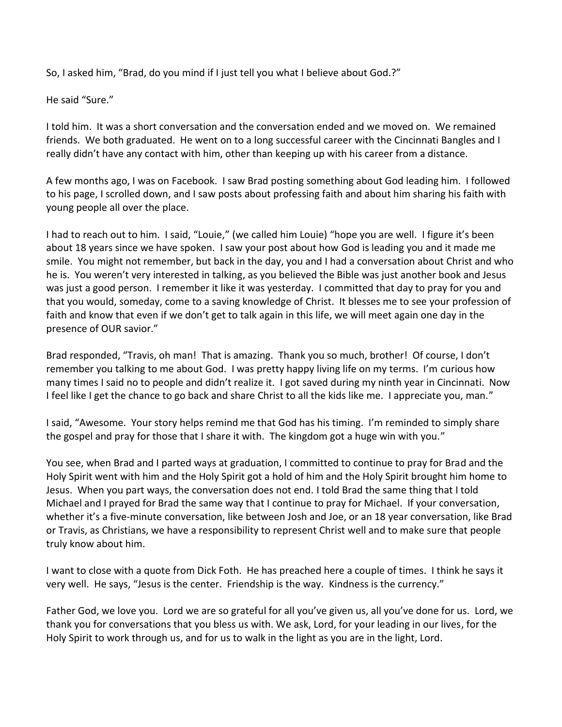So, I asked him, "Brad, do you mind if I just tell you what I believe about God.?"

He said "Sure."

I told him. It was a short conversation and the conversation ended and we moved on. We remained friends. We both graduated. He went on to a long successful career with the Cincinnati Bangles and I really didn't have any contact with him, other than keeping up with his career from a distance.

A few months ago, I was on Facebook. I saw Brad posting something about God leading him. I followed to his page, I scrolled down, and I saw posts about professing faith and about him sharing his faith with young people all over the place.

I had to reach out to him. I said, "Louie," (we called him Louie) "hope you are well. I figure it's been about 18 years since we have spoken. I saw your post about how God is leading you and it made me smile. You might not remember, but back in the day, you and I had a conversation about Christ and who he is. You weren't very interested in talking, as you believed the Bible was just another book and Jesus was just a good person. I remember it like it was yesterday. I committed that day to pray for you and that you would, someday, come to a saving knowledge of Christ. It blesses me to see your profession of faith and know that even if we don't get to talk again in this life, we will meet again one day in the presence of OUR savior."

Brad responded, "Travis, oh man! That is amazing. Thank you so much, brother! Of course, I don't remember you talking to me about God. I was pretty happy living life on my terms. I'm curious how many times I said no to people and didn't realize it. I got saved during my ninth year in Cincinnati. Now I feel like I get the chance to go back and share Christ to all the kids like me. I appreciate you, man."

I said, "Awesome. Your story helps remind me that God has his timing. I'm reminded to simply share the gospel and pray for those that I share it with. The kingdom got a huge win with you."

You see, when Brad and I parted ways at graduation, I committed to continue to pray for Brad and the Holy Spirit went with him and the Holy Spirit got a hold of him and the Holy Spirit brought him home to Jesus. When you part ways, the conversation does not end. I told Brad the same thing that I told Michael and I prayed for Brad the same way that I continue to pray for Michael. If your conversation, whether it's a five-minute conversation, like between Josh and Joe, or an 18 year conversation, like Brad or Travis, as Christians, we have a responsibility to represent Christ well and to make sure that people truly know about him.

I want to close with a quote from Dick Foth. He has preached here a couple of times. I think he says it very well. He says, "Jesus is the center. Friendship is the way. Kindness is the currency."

Father God, we love you. Lord we are so grateful for all you've given us, all you've done for us. Lord, we thank you for conversations that you bless us with. We ask, Lord, for your leading in our lives, for the Holy Spirit to work through us, and for us to walk in the light as you are in the light, Lord.